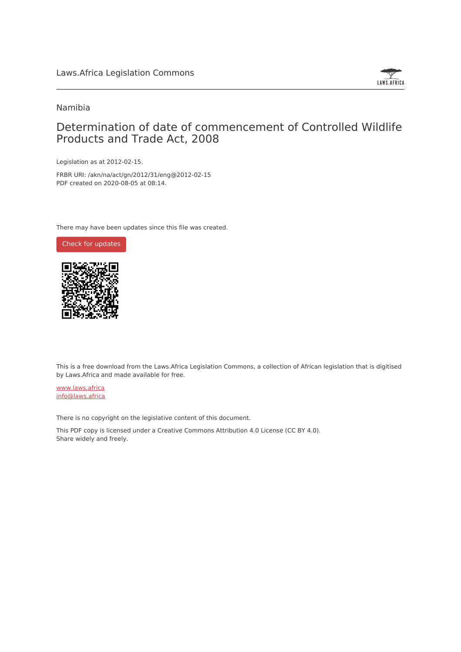

#### Namibia

### Determination of date of commencement of Controlled Wildlife Products and Trade Act, 2008

Legislation as at 2012-02-15.

FRBR URI: /akn/na/act/gn/2012/31/eng@2012-02-15 PDF created on 2020-08-05 at 08:14.

There may have been updates since this file was created.



This is a free download from the Laws.Africa Legislation Commons, a collection of African legislation that is digitised by Laws.Africa and made available for free.

[www.laws.africa](https://www.laws.africa) [info@laws.africa](mailto:info@laws.africa)

There is no copyright on the legislative content of this document.

This PDF copy is licensed under a Creative Commons Attribution 4.0 License (CC BY 4.0). Share widely and freely.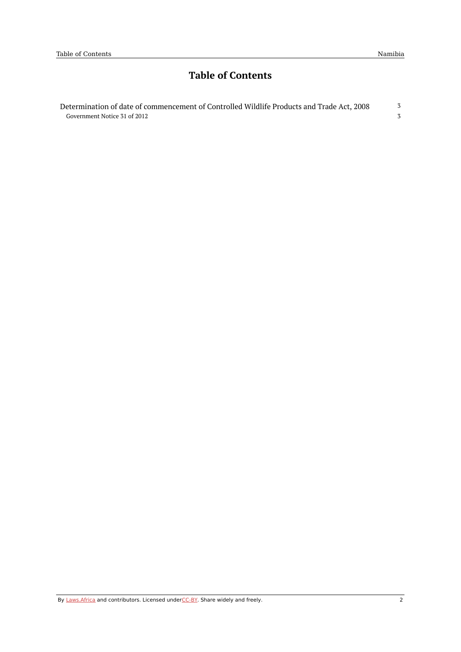## **Table of Contents**

| Determination of date of commencement of Controlled Wildlife Products and Trade Act, 2008 |  |
|-------------------------------------------------------------------------------------------|--|
| Government Notice 31 of 2012                                                              |  |